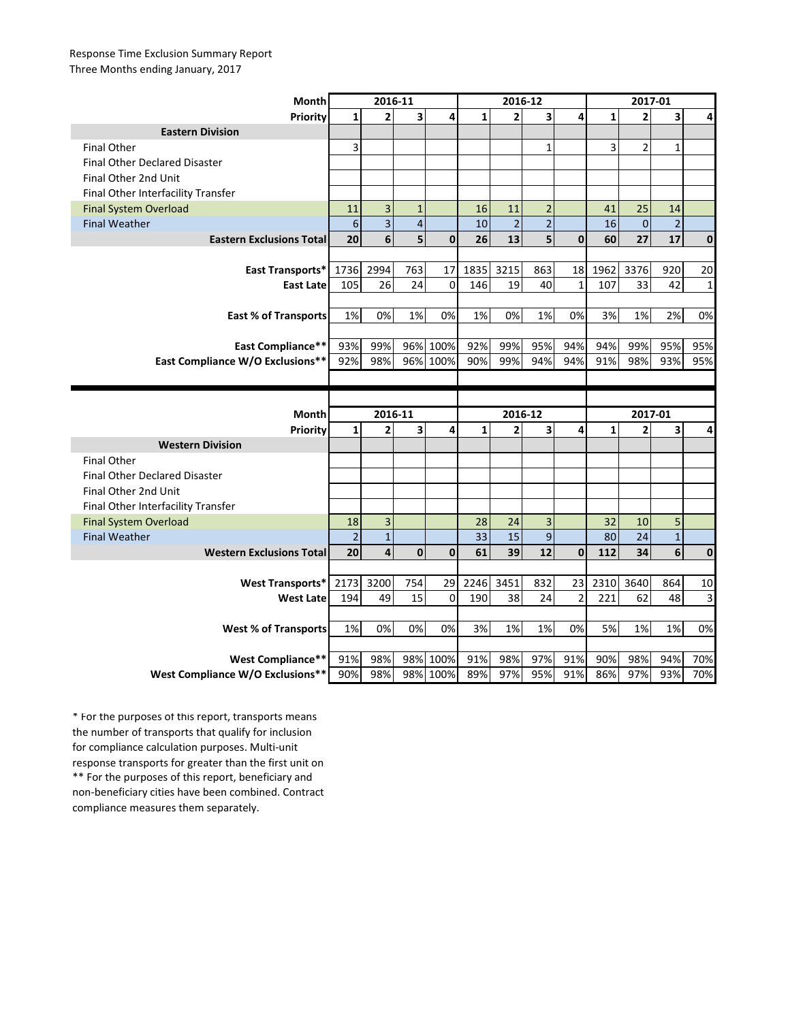## Response Time Exclusion Summary Report Three Months ending January, 2017

| <b>Month</b>                         | 2016-11        |                         |                |              | 2016-12      |                |                |                | 2017-01      |                |                |                         |
|--------------------------------------|----------------|-------------------------|----------------|--------------|--------------|----------------|----------------|----------------|--------------|----------------|----------------|-------------------------|
| Priority                             | 1              | $\overline{2}$          | 3              | 4            | $\mathbf{1}$ | $\overline{2}$ | 3              | 4              | $\mathbf{1}$ | $\overline{2}$ | 3              | 4                       |
| <b>Eastern Division</b>              |                |                         |                |              |              |                |                |                |              |                |                |                         |
| <b>Final Other</b>                   | 3              |                         |                |              |              |                | $\mathbf{1}$   |                | 3            | $\overline{2}$ | $\mathbf 1$    |                         |
| <b>Final Other Declared Disaster</b> |                |                         |                |              |              |                |                |                |              |                |                |                         |
| Final Other 2nd Unit                 |                |                         |                |              |              |                |                |                |              |                |                |                         |
| Final Other Interfacility Transfer   |                |                         |                |              |              |                |                |                |              |                |                |                         |
| <b>Final System Overload</b>         | 11             | 3                       | $\mathbf{1}$   |              | 16           | 11             | $\overline{2}$ |                | 41           | 25             | 14             |                         |
| <b>Final Weather</b>                 | 6              | 3                       | $\overline{4}$ |              | 10           | $\overline{2}$ | $\overline{2}$ |                | 16           | $\overline{0}$ | $\overline{2}$ |                         |
| <b>Eastern Exclusions Total</b>      | 20             | 6                       | 5              | $\mathbf{0}$ | 26           | 13             | 5              | $\mathbf{0}$   | 60           | 27             | 17             | $\mathbf 0$             |
|                                      |                |                         |                |              |              |                |                |                |              |                |                |                         |
| East Transports*                     | 1736           | 2994                    | 763            | 17           | 1835         | 3215           | 863            | 18             | 1962         | 3376           | 920            | 20                      |
| <b>East Late</b>                     | 105            | 26                      | 24             | $\mathbf{0}$ | 146          | 19             | 40             | $\mathbf{1}$   | 107          | 33             | 42             | $\mathbf{1}$            |
|                                      |                |                         |                |              |              |                |                |                |              |                |                |                         |
| <b>East % of Transports</b>          | 1%             | 0%                      | 1%             | 0%           | 1%           | 0%             | 1%             | 0%             | 3%           | 1%             | 2%             | 0%                      |
|                                      |                |                         |                |              |              |                |                |                |              |                |                |                         |
| East Compliance**                    | 93%            | 99%                     | 96%            | 100%         | 92%          | 99%            | 95%            | 94%            | 94%          | 99%            | 95%            | 95%                     |
| East Compliance W/O Exclusions**     | 92%            | 98%                     |                | 96% 100%     | 90%          | 99%            | 94%            | 94%            | 91%          | 98%            | 93%            | 95%                     |
|                                      |                |                         |                |              |              |                |                |                |              |                |                |                         |
|                                      |                |                         |                |              |              |                |                |                |              |                |                |                         |
|                                      |                |                         |                |              |              |                |                |                |              |                |                |                         |
| Month                                |                | 2016-11                 |                |              |              | 2016-12        |                |                |              | 2017-01        |                |                         |
| Priority                             | $\mathbf{1}$   | $\overline{2}$          | 3              | 4            | $\mathbf{1}$ | $\overline{2}$ | 3              | 4              | $\mathbf{1}$ | $\overline{2}$ | 3              | 4                       |
| <b>Western Division</b>              |                |                         |                |              |              |                |                |                |              |                |                |                         |
| <b>Final Other</b>                   |                |                         |                |              |              |                |                |                |              |                |                |                         |
| <b>Final Other Declared Disaster</b> |                |                         |                |              |              |                |                |                |              |                |                |                         |
| Final Other 2nd Unit                 |                |                         |                |              |              |                |                |                |              |                |                |                         |
| Final Other Interfacility Transfer   |                |                         |                |              |              |                |                |                |              |                |                |                         |
| <b>Final System Overload</b>         | 18             | $\overline{\mathbf{3}}$ |                |              | 28           | 24             | 3              |                | 32           | 10             | 5              |                         |
| <b>Final Weather</b>                 | $\overline{2}$ | $\overline{1}$          |                |              | 33           | 15             | 9              |                | 80           | 24             | $\mathbf{1}$   |                         |
| <b>Western Exclusions Total</b>      | 20             | 4                       | $\mathbf 0$    | $\mathbf{0}$ | 61           | 39             | 12             | $\mathbf{0}$   | 112          | 34             | 6              | $\mathbf{0}$            |
|                                      |                |                         |                |              |              |                |                |                |              |                |                |                         |
| <b>West Transports*</b>              | 2173           | 3200                    | 754            | 29           | 2246         | 3451           | 832            | 23             | 2310         | 3640           | 864            | 10                      |
| <b>West Late</b>                     | 194            | 49                      | 15             | $\mathbf 0$  | 190          | 38             | 24             | $\overline{2}$ | 221          | 62             | 48             | $\overline{\mathbf{3}}$ |
|                                      |                |                         |                |              |              |                |                |                |              |                |                |                         |
| <b>West % of Transports</b>          | 1%             | 0%                      | 0%             | 0%           | 3%           | 1%             | 1%             | 0%             | 5%           | 1%             | 1%             | 0%                      |
|                                      |                |                         |                |              |              |                |                |                |              |                |                |                         |
| <b>West Compliance**</b>             | 91%            | 98%                     | 98%            | 100%         | 91%          | 98%            | 97%            | 91%            | 90%          | 98%            | 94%            | 70%                     |

\*\* For the purposes of this report, beneficiary and non-beneficiary cities have been combined. Contract compliance measures them separately. \* For the purposes of this report, transports means the number of transports that qualify for inclusion for compliance calculation purposes. Multi-unit response transports for greater than the first unit on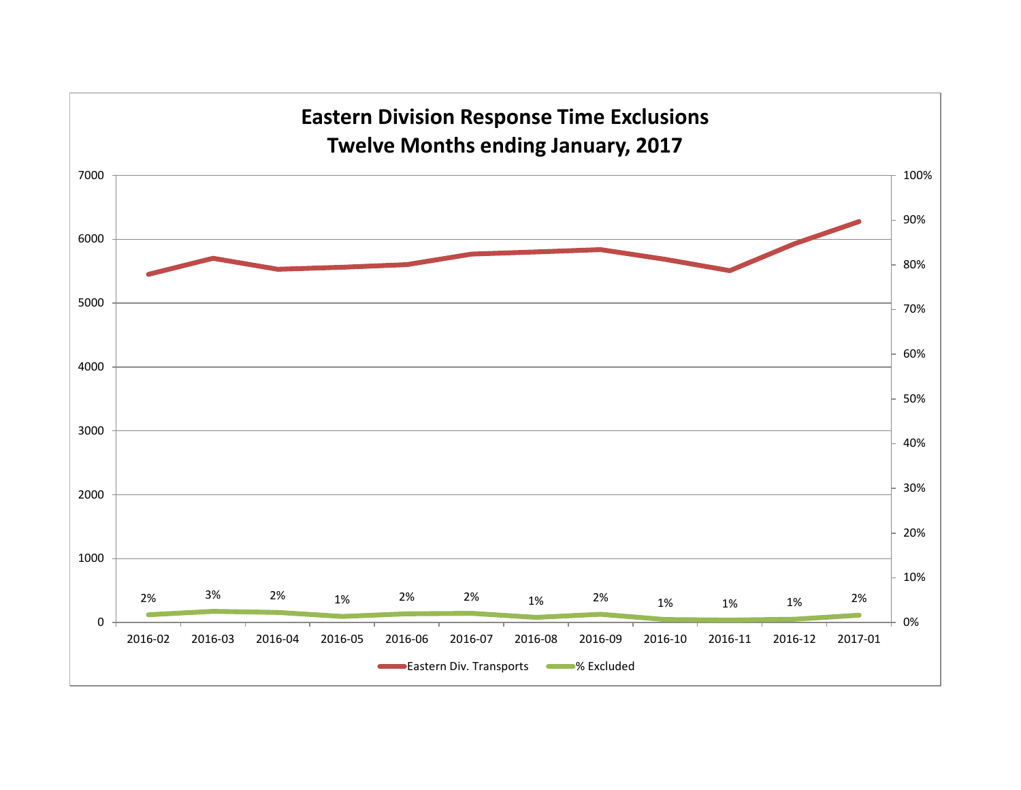